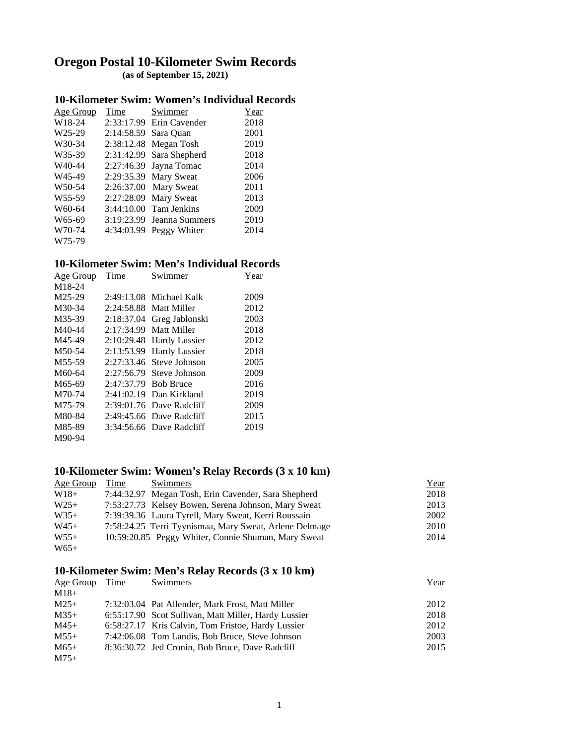# **Oregon Postal 10-Kilometer Swim Records (as of September 15, 2021)**

#### **10-Kilometer Swim: Women's Individual Records**

| Age Group           | Time                 | Swimmer                    | Year |
|---------------------|----------------------|----------------------------|------|
| W18-24              |                      | $2:33:17.99$ Erin Cavender | 2018 |
| W <sub>25-29</sub>  | 2:14:58.59 Sara Quan |                            | 2001 |
| W30-34              |                      | 2:38:12.48 Megan Tosh      | 2019 |
| W35-39              |                      | 2:31:42.99 Sara Shepherd   | 2018 |
| W <sub>40</sub> -44 |                      | 2:27:46.39 Jayna Tomac     | 2014 |
| W <sub>45</sub> -49 |                      | 2:29:35.39 Mary Sweat      | 2006 |
| W <sub>50</sub> -54 |                      | 2:26:37.00 Mary Sweat      | 2011 |
| W <sub>55-59</sub>  |                      | 2:27:28.09 Mary Sweat      | 2013 |
| W60-64              |                      | $3:44:10.00$ Tam Jenkins   | 2009 |
| W65-69              |                      | 3:19:23.99 Jeanna Summers  | 2019 |
| W70-74              |                      | 4:34:03.99 Peggy Whiter    | 2014 |
| W75-79              |                      |                            |      |

### **10-Kilometer Swim: Men's Individual Records**

| Age Group           | Time       | Swimmer                    | Year |
|---------------------|------------|----------------------------|------|
| M18-24              |            |                            |      |
| M25-29              | 2:49:13.08 | Michael Kalk               | 2009 |
| M30-34              | 2:24:58.88 | Matt Miller                | 2012 |
| M35-39              | 2:18:37.04 | Greg Jablonski             | 2003 |
| M40-44              | 2:17:34.99 | Matt Miller                | 2018 |
| M45-49              | 2:10:29.48 | <b>Hardy Lussier</b>       | 2012 |
| M50-54              | 2:13:53.99 | <b>Hardy Lussier</b>       | 2018 |
| M <sub>55</sub> -59 | 2:27:33.46 | Steve Johnson              | 2005 |
| M60-64              | 2:27:56.79 | Steve Johnson              | 2009 |
| M65-69              | 2:47:37.79 | <b>Bob Bruce</b>           | 2016 |
| M70-74              | 2:41:02.19 | Dan Kirkland               | 2019 |
| M75-79              |            | $2:39:01.76$ Dave Radcliff | 2009 |
| M80-84              |            | $2:49:45.66$ Dave Radcliff | 2015 |
| M85-89              |            | 3:34:56.66 Dave Radcliff   | 2019 |
| M90-94              |            |                            |      |

### **10-Kilometer Swim: Women's Relay Records (3 x 10 km)**

| Age Group | Time | Swimmers                                               | <u>Year</u> |
|-----------|------|--------------------------------------------------------|-------------|
| $W18+$    |      | 7:44:32.97 Megan Tosh, Erin Cavender, Sara Shepherd    | 2018        |
| $W25+$    |      | 7:53:27.73 Kelsey Bowen, Serena Johnson, Mary Sweat    | 2013        |
| $W35+$    |      | 7:39:39.36 Laura Tyrell, Mary Sweat, Kerri Roussain    | 2002        |
| $W45+$    |      | 7:58:24.25 Terri Tyynismaa, Mary Sweat, Arlene Delmage | 2010        |
| $W55+$    |      | 10:59:20.85 Peggy Whiter, Connie Shuman, Mary Sweat    | 2014        |
| $W65+$    |      |                                                        |             |

#### **10-Kilometer Swim: Men's Relay Records (3 x 10 km)**

| Age Group | Time | Swimmers                                             | Year |
|-----------|------|------------------------------------------------------|------|
| $M18+$    |      |                                                      |      |
| $M25+$    |      | 7:32:03.04 Pat Allender, Mark Frost, Matt Miller     | 2012 |
| $M35+$    |      | 6:55:17.90 Scot Sullivan, Matt Miller, Hardy Lussier | 2018 |
| $M45+$    |      | 6:58:27.17 Kris Calvin, Tom Fristoe, Hardy Lussier   | 2012 |
| $M55+$    |      | 7:42:06.08 Tom Landis, Bob Bruce, Steve Johnson      | 2003 |
| $M65+$    |      | 8:36:30.72 Jed Cronin, Bob Bruce, Dave Radcliff      | 2015 |
| $M75+$    |      |                                                      |      |